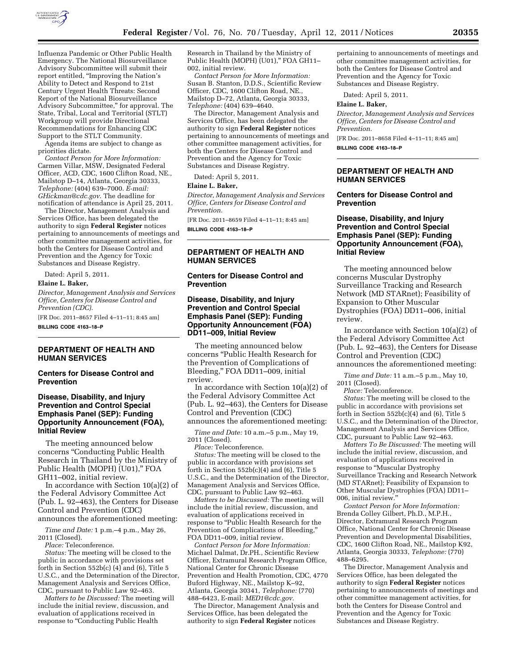

Influenza Pandemic or Other Public Health Emergency. The National Biosurveillance Advisory Subcommittee will submit their report entitled, ''Improving the Nation's Ability to Detect and Respond to 21st Century Urgent Health Threats: Second Report of the National Biosurveillance Advisory Subcommittee,'' for approval. The State, Tribal, Local and Territorial (STLT) Workgroup will provide Directional Recommendations for Enhancing CDC Support to the STLT Community.

Agenda items are subject to change as priorities dictate.

*Contact Person for More Information:*  Carmen Villar, MSW, Designated Federal Officer, ACD, CDC, 1600 Clifton Road, NE., Mailstop D–14, Atlanta, Georgia 30333, *Telephone:* (404) 639–7000. *E-mail: [GHickman@cdc.gov](mailto:GHickman@cdc.gov)*. The deadline for notification of attendance is April 25, 2011.

The Director, Management Analysis and Services Office, has been delegated the authority to sign **Federal Register** notices pertaining to announcements of meetings and other committee management activities, for both the Centers for Disease Control and Prevention and the Agency for Toxic Substances and Disease Registry.

Dated: April 5, 2011.

#### **Elaine L. Baker,**

*Director, Management Analysis and Services Office, Centers for Disease Control and Prevention (CDC).* 

[FR Doc. 2011–8657 Filed 4–11–11; 8:45 am]

**BILLING CODE 4163–18–P** 

# **DEPARTMENT OF HEALTH AND HUMAN SERVICES**

#### **Centers for Disease Control and Prevention**

#### **Disease, Disability, and Injury Prevention and Control Special Emphasis Panel (SEP): Funding Opportunity Announcement (FOA), Initial Review**

The meeting announced below concerns ''Conducting Public Health Research in Thailand by the Ministry of Public Health (MOPH) (U01),'' FOA GH11–002, initial review.

In accordance with Section 10(a)(2) of the Federal Advisory Committee Act (Pub. L. 92–463), the Centers for Disease Control and Prevention (CDC) announces the aforementioned meeting:

*Time and Date:* 1 p.m.–4 p.m., May 26, 2011 (Closed).

*Place:* Teleconference.

*Status:* The meeting will be closed to the public in accordance with provisions set forth in Section 552b(c)  $(4)$  and  $(6)$ , Title 5 U.S.C., and the Determination of the Director, Management Analysis and Services Office, CDC, pursuant to Public Law 92–463.

*Matters to be Discussed:* The meeting will include the initial review, discussion, and evaluation of applications received in response to "Conducting Public Health

Research in Thailand by the Ministry of Public Health (MOPH) (U01)," FOA GH11-002, initial review.

*Contact Person for More Information:*  Susan B. Stanton, D.D.S., Scientific Review Officer, CDC, 1600 Clifton Road, NE., Mailstop D–72, Atlanta, Georgia 30333, *Telephone:* (404) 639–4640.

The Director, Management Analysis and Services Office, has been delegated the authority to sign **Federal Register** notices pertaining to announcements of meetings and other committee management activities, for both the Centers for Disease Control and Prevention and the Agency for Toxic Substances and Disease Registry.

Dated: April 5, 2011.

#### **Elaine L. Baker,**

*Director, Management Analysis and Services Office, Centers for Disease Control and Prevention.* 

[FR Doc. 2011–8659 Filed 4–11–11; 8:45 am] **BILLING CODE 4163–18–P** 

## **DEPARTMENT OF HEALTH AND HUMAN SERVICES**

## **Centers for Disease Control and Prevention**

## **Disease, Disability, and Injury Prevention and Control Special Emphasis Panel (SEP): Funding Opportunity Announcement (FOA) DD11–009, Initial Review**

The meeting announced below concerns ''Public Health Research for the Prevention of Complications of Bleeding,'' FOA DD11–009, initial review.

In accordance with Section 10(a)(2) of the Federal Advisory Committee Act (Pub. L. 92–463), the Centers for Disease Control and Prevention (CDC) announces the aforementioned meeting:

*Time and Date:* 10 a.m.–5 p.m., May 19, 2011 (Closed).

*Place:* Teleconference.

*Status:* The meeting will be closed to the public in accordance with provisions set forth in Section  $552b(c)(4)$  and  $(6)$ , Title 5 U.S.C., and the Determination of the Director, Management Analysis and Services Office, CDC, pursuant to Public Law 92–463.

*Matters to be Discussed:* The meeting will include the initial review, discussion, and evaluation of applications received in response to "Public Health Research for the Prevention of Complications of Bleeding,'' FOA DD11–009, initial review.

*Contact Person for More Information:*  Michael Dalmat, Dr.PH., Scientific Review Officer, Extramural Research Program Office, National Center for Chronic Disease Prevention and Health Promotion, CDC, 4770 Buford Highway, NE., Mailstop K–92, Atlanta, Georgia 30341, *Telephone:* (770) 488–6423, E-mail: *[MED1@cdc.gov.](mailto:MED1@cdc.gov)* 

The Director, Management Analysis and Services Office, has been delegated the authority to sign **Federal Register** notices

pertaining to announcements of meetings and other committee management activities, for both the Centers for Disease Control and Prevention and the Agency for Toxic Substances and Disease Registry.

Dated: April 5, 2011.

#### **Elaine L. Baker,**

*Director, Management Analysis and Services Office, Centers for Disease Control and Prevention.* 

[FR Doc. 2011–8658 Filed 4–11–11; 8:45 am] **BILLING CODE 4163–18–P** 

# **DEPARTMENT OF HEALTH AND HUMAN SERVICES**

#### **Centers for Disease Control and Prevention**

## **Disease, Disability, and Injury Prevention and Control Special Emphasis Panel (SEP): Funding Opportunity Announcement (FOA), Initial Review**

The meeting announced below concerns Muscular Dystrophy Surveillance Tracking and Research Network (MD STARnet); Feasibility of Expansion to Other Muscular Dystrophies (FOA) DD11–006, initial review.

In accordance with Section 10(a)(2) of the Federal Advisory Committee Act (Pub. L. 92–463), the Centers for Disease Control and Prevention (CDC) announces the aforementioned meeting:

*Time and Date:* 11 a.m.–5 p.m., May 10,

2011 (Closed). *Place:* Teleconference.

*Status:* The meeting will be closed to the public in accordance with provisions set forth in Section 552b(c)(4) and (6), Title 5 U.S.C., and the Determination of the Director, Management Analysis and Services Office, CDC, pursuant to Public Law 92–463.

*Matters To Be Discussed:* The meeting will include the initial review, discussion, and evaluation of applications received in response to ''Muscular Dystrophy Surveillance Tracking and Research Network (MD STARnet); Feasibility of Expansion to Other Muscular Dystrophies (FOA) DD11– 006, initial review.''

*Contact Person for More Information:*  Brenda Colley Gilbert, Ph.D., M.P.H., Director, Extramural Research Program Office, National Center for Chronic Disease Prevention and Developmental Disabilities, CDC, 1600 Clifton Road, NE., Mailstop K92, Atlanta, Georgia 30333, *Telephone:* (770) 488–6295.

The Director, Management Analysis and Services Office, has been delegated the authority to sign **Federal Register** notices pertaining to announcements of meetings and other committee management activities, for both the Centers for Disease Control and Prevention and the Agency for Toxic Substances and Disease Registry.